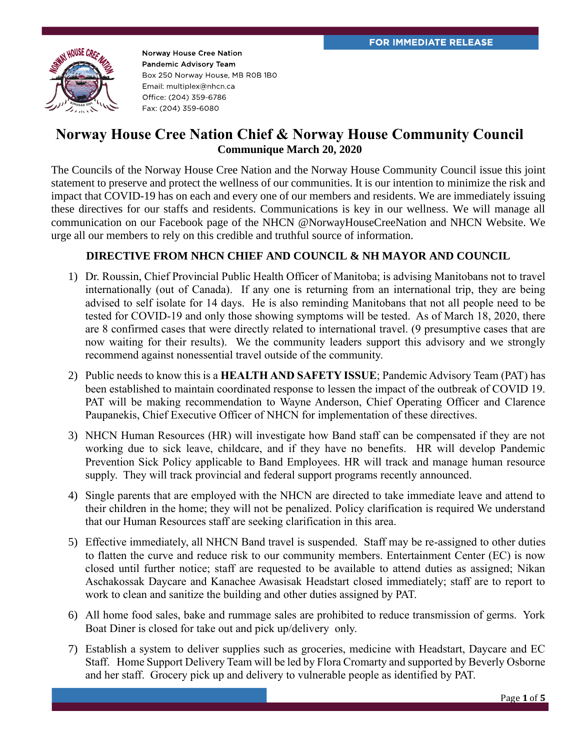

## **Norway House Cree Nation Chief & Norway House Community Council Communique March 20, 2020**

The Councils of the Norway House Cree Nation and the Norway House Community Council issue this joint statement to preserve and protect the wellness of our communities. It is our intention to minimize the risk and impact that COVID-19 has on each and every one of our members and residents. We are immediately issuing these directives for our staffs and residents. Communications is key in our wellness. We will manage all communication on our Facebook page of the NHCN @NorwayHouseCreeNation and NHCN Website. We urge all our members to rely on this credible and truthful source of information.

## **DIRECTIVE FROM NHCN CHIEF AND COUNCIL & NH MAYOR AND COUNCIL**

- 1) Dr. Roussin, Chief Provincial Public Health Officer of Manitoba; is advising Manitobans not to travel internationally (out of Canada). If any one is returning from an international trip, they are being advised to self isolate for 14 days. He is also reminding Manitobans that not all people need to be tested for COVID-19 and only those showing symptoms will be tested. As of March 18, 2020, there are 8 confirmed cases that were directly related to international travel. (9 presumptive cases that are now waiting for their results). We the community leaders support this advisory and we strongly recommend against nonessential travel outside of the community.
- 2) Public needs to know this is a **HEALTH AND SAFETY ISSUE**; Pandemic Advisory Team (PAT) has been established to maintain coordinated response to lessen the impact of the outbreak of COVID 19. PAT will be making recommendation to Wayne Anderson, Chief Operating Officer and Clarence Paupanekis, Chief Executive Officer of NHCN for implementation of these directives.
- 3) NHCN Human Resources (HR) will investigate how Band staff can be compensated if they are not working due to sick leave, childcare, and if they have no benefits. HR will develop Pandemic Prevention Sick Policy applicable to Band Employees. HR will track and manage human resource supply. They will track provincial and federal support programs recently announced.
- 4) Single parents that are employed with the NHCN are directed to take immediate leave and attend to their children in the home; they will not be penalized. Policy clarification is required We understand that our Human Resources staff are seeking clarification in this area.
- 5) Effective immediately, all NHCN Band travel is suspended. Staff may be re-assigned to other duties to flatten the curve and reduce risk to our community members. Entertainment Center (EC) is now closed until further notice; staff are requested to be available to attend duties as assigned; Nikan Aschakossak Daycare and Kanachee Awasisak Headstart closed immediately; staff are to report to work to clean and sanitize the building and other duties assigned by PAT.
- 6) All home food sales, bake and rummage sales are prohibited to reduce transmission of germs. York Boat Diner is closed for take out and pick up/delivery only.
- 7) Establish a system to deliver supplies such as groceries, medicine with Headstart, Daycare and EC Staff. Home Support Delivery Team will be led by Flora Cromarty and supported by Beverly Osborne and her staff. Grocery pick up and delivery to vulnerable people as identified by PAT.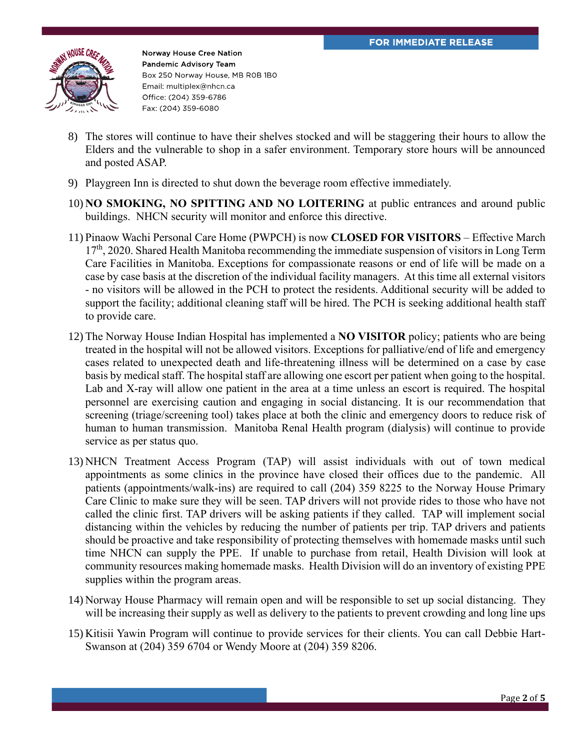

- 8) The stores will continue to have their shelves stocked and will be staggering their hours to allow the Elders and the vulnerable to shop in a safer environment. Temporary store hours will be announced and posted ASAP.
- 9) Playgreen Inn is directed to shut down the beverage room effective immediately.
- 10) **NO SMOKING, NO SPITTING AND NO LOITERING** at public entrances and around public buildings. NHCN security will monitor and enforce this directive.
- 11) Pinaow Wachi Personal Care Home (PWPCH) is now **CLOSED FOR VISITORS** Effective March  $17<sup>th</sup>$ , 2020. Shared Health Manitoba recommending the immediate suspension of visitors in Long Term Care Facilities in Manitoba. Exceptions for compassionate reasons or end of life will be made on a case by case basis at the discretion of the individual facility managers. At this time all external visitors - no visitors will be allowed in the PCH to protect the residents. Additional security will be added to support the facility; additional cleaning staff will be hired. The PCH is seeking additional health staff to provide care.
- 12) The Norway House Indian Hospital has implemented a **NO VISITOR** policy; patients who are being treated in the hospital will not be allowed visitors. Exceptions for palliative/end of life and emergency cases related to unexpected death and life-threatening illness will be determined on a case by case basis by medical staff. The hospital staff are allowing one escort per patient when going to the hospital. Lab and X-ray will allow one patient in the area at a time unless an escort is required. The hospital personnel are exercising caution and engaging in social distancing. It is our recommendation that screening (triage/screening tool) takes place at both the clinic and emergency doors to reduce risk of human to human transmission. Manitoba Renal Health program (dialysis) will continue to provide service as per status quo.
- 13) NHCN Treatment Access Program (TAP) will assist individuals with out of town medical appointments as some clinics in the province have closed their offices due to the pandemic. All patients (appointments/walk-ins) are required to call (204) 359 8225 to the Norway House Primary Care Clinic to make sure they will be seen. TAP drivers will not provide rides to those who have not called the clinic first. TAP drivers will be asking patients if they called. TAP will implement social distancing within the vehicles by reducing the number of patients per trip. TAP drivers and patients should be proactive and take responsibility of protecting themselves with homemade masks until such time NHCN can supply the PPE. If unable to purchase from retail, Health Division will look at community resources making homemade masks. Health Division will do an inventory of existing PPE supplies within the program areas.
- 14) Norway House Pharmacy will remain open and will be responsible to set up social distancing. They will be increasing their supply as well as delivery to the patients to prevent crowding and long line ups
- 15) Kitisii Yawin Program will continue to provide services for their clients. You can call Debbie Hart-Swanson at (204) 359 6704 or Wendy Moore at (204) 359 8206.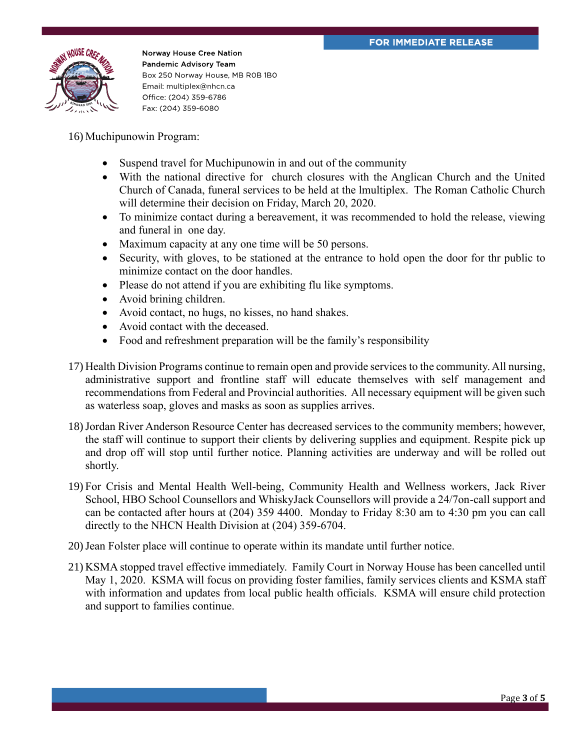

16) Muchipunowin Program:

- Suspend travel for Muchipunowin in and out of the community
- With the national directive for church closures with the Anglican Church and the United Church of Canada, funeral services to be held at the lmultiplex. The Roman Catholic Church will determine their decision on Friday, March 20, 2020.
- To minimize contact during a bereavement, it was recommended to hold the release, viewing and funeral in one day.
- Maximum capacity at any one time will be 50 persons.
- Security, with gloves, to be stationed at the entrance to hold open the door for thr public to minimize contact on the door handles.
- Please do not attend if you are exhibiting flu like symptoms.
- Avoid brining children.
- Avoid contact, no hugs, no kisses, no hand shakes.
- Avoid contact with the deceased.
- Food and refreshment preparation will be the family's responsibility
- 17) Health Division Programs continue to remain open and provide services to the community. All nursing, administrative support and frontline staff will educate themselves with self management and recommendations from Federal and Provincial authorities. All necessary equipment will be given such as waterless soap, gloves and masks as soon as supplies arrives.
- 18)Jordan River Anderson Resource Center has decreased services to the community members; however, the staff will continue to support their clients by delivering supplies and equipment. Respite pick up and drop off will stop until further notice. Planning activities are underway and will be rolled out shortly.
- 19) For Crisis and Mental Health Well-being, Community Health and Wellness workers, Jack River School, HBO School Counsellors and WhiskyJack Counsellors will provide a 24/7on-call support and can be contacted after hours at (204) 359 4400. Monday to Friday 8:30 am to 4:30 pm you can call directly to the NHCN Health Division at (204) 359-6704.
- 20)Jean Folster place will continue to operate within its mandate until further notice.
- 21) KSMA stopped travel effective immediately. Family Court in Norway House has been cancelled until May 1, 2020. KSMA will focus on providing foster families, family services clients and KSMA staff with information and updates from local public health officials. KSMA will ensure child protection and support to families continue.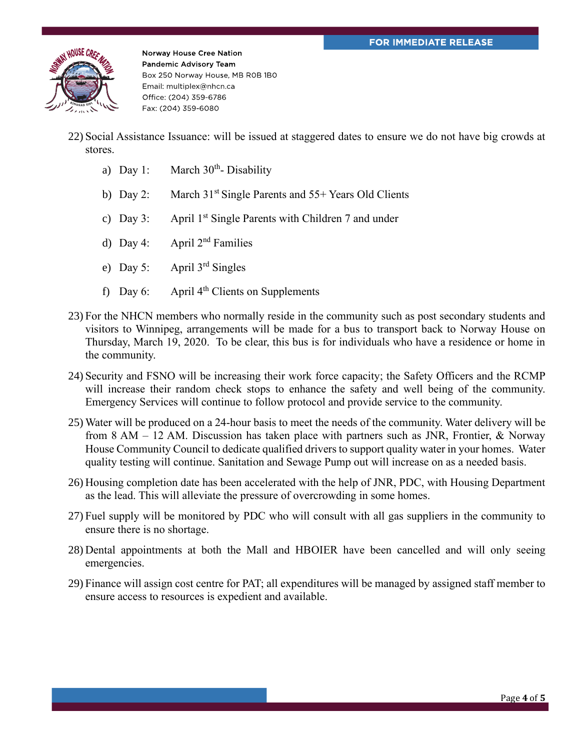

- 22) Social Assistance Issuance: will be issued at staggered dates to ensure we do not have big crowds at stores.
	- a) Day 1: March  $30<sup>th</sup>$  Disability
	- b) Day 2: March 31<sup>st</sup> Single Parents and 55+ Years Old Clients
	- c) Day 3: April  $1<sup>st</sup>$  Single Parents with Children 7 and under
	- d) Day 4: April  $2<sup>nd</sup>$  Families
	- e) Day 5: April 3rd Singles
	- f) Day 6: April  $4<sup>th</sup>$  Clients on Supplements
- 23) For the NHCN members who normally reside in the community such as post secondary students and visitors to Winnipeg, arrangements will be made for a bus to transport back to Norway House on Thursday, March 19, 2020. To be clear, this bus is for individuals who have a residence or home in the community.
- 24) Security and FSNO will be increasing their work force capacity; the Safety Officers and the RCMP will increase their random check stops to enhance the safety and well being of the community. Emergency Services will continue to follow protocol and provide service to the community.
- 25) Water will be produced on a 24-hour basis to meet the needs of the community. Water delivery will be from 8 AM – 12 AM. Discussion has taken place with partners such as JNR, Frontier, & Norway House Community Council to dedicate qualified drivers to support quality water in your homes. Water quality testing will continue. Sanitation and Sewage Pump out will increase on as a needed basis.
- 26) Housing completion date has been accelerated with the help of JNR, PDC, with Housing Department as the lead. This will alleviate the pressure of overcrowding in some homes.
- 27) Fuel supply will be monitored by PDC who will consult with all gas suppliers in the community to ensure there is no shortage.
- 28) Dental appointments at both the Mall and HBOIER have been cancelled and will only seeing emergencies.
- 29) Finance will assign cost centre for PAT; all expenditures will be managed by assigned staff member to ensure access to resources is expedient and available.